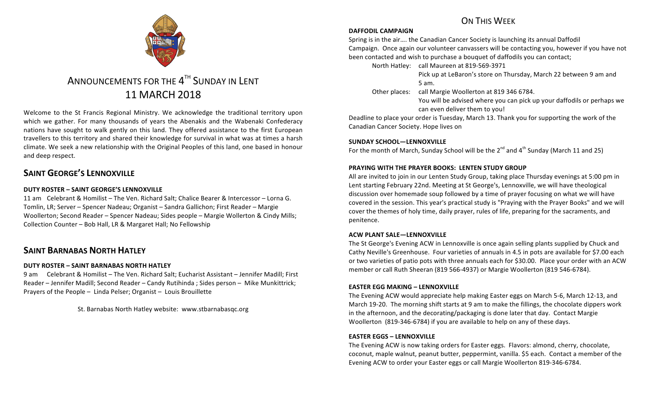

# ANNOUNCEMENTS FOR THE  $4^{TH}$  SUNDAY IN LENT 11 MARCH 2018

Welcome to the St Francis Regional Ministry. We acknowledge the traditional territory upon which we gather. For many thousands of years the Abenakis and the Wabenaki Confederacy nations have sought to walk gently on this land. They offered assistance to the first European travellers to this territory and shared their knowledge for survival in what was at times a harsh climate. We seek a new relationship with the Original Peoples of this land, one based in honour and deep respect.

# **SAINT GEORGE'S LENNOXVILLE**

#### **DUTY ROSTER – SAINT GEORGE'S LENNOXVILLE**

11 am Celebrant & Homilist – The Ven. Richard Salt; Chalice Bearer & Intercessor – Lorna G. Tomlin, LR; Server – Spencer Nadeau; Organist – Sandra Gallichon; First Reader – Margie Woollerton; Second Reader – Spencer Nadeau; Sides people – Margie Wollerton & Cindy Mills; Collection Counter - Bob Hall, LR & Margaret Hall; No Fellowship

## **SAINT BARNABAS NORTH HATLEY**

#### **DUTY ROSTER – SAINT BARNABAS NORTH HATLEY**

9 am Celebrant & Homilist – The Ven. Richard Salt; Eucharist Assistant – Jennifer Madill; First Reader – Jennifer Madill; Second Reader – Candy Rutihinda ; Sides person – Mike Munkittrick; Prayers of the People  $-$  Linda Pelser; Organist  $-$  Louis Brouillette

St. Barnabas North Hatley website: www.stbarnabasqc.org

# ON THIS WFFK

#### **DAFFODIL CAMPAIGN**

Spring is in the air.... the Canadian Cancer Society is launching its annual Daffodil Campaign. Once again our volunteer canvassers will be contacting you, however if you have not been contacted and wish to purchase a bouquet of daffodils you can contact;

North Hatley: call Maureen at 819-569-3971

Pick up at LeBaron's store on Thursday, March 22 between 9 am and 5 am.

Other places: call Margie Woollerton at 819 346 6784.

You will be advised where you can pick up your daffodils or perhaps we can even deliver them to you!

Deadline to place your order is Tuesday, March 13. Thank you for supporting the work of the Canadian Cancer Society. Hope lives on

#### SUNDAY SCHOOL-LENNOXVILLE

For the month of March, Sunday School will be the  $2^{nd}$  and  $4^{th}$  Sunday (March 11 and 25)

#### **PRAYING WITH THE PRAYER BOOKS: LENTEN STUDY GROUP**

All are invited to join in our Lenten Study Group, taking place Thursday evenings at 5:00 pm in Lent starting February 22nd. Meeting at St George's, Lennoxville, we will have theological discussion over homemade soup followed by a time of prayer focusing on what we will have covered in the session. This year's practical study is "Praying with the Prayer Books" and we will cover the themes of holy time, daily prayer, rules of life, preparing for the sacraments, and penitence.

#### **ACW PLANT SALE—LENNOXVILLE**

The St George's Evening ACW in Lennoxville is once again selling plants supplied by Chuck and Cathy Neville's Greenhouse. Four varieties of annuals in 4.5 in pots are available for \$7.00 each or two varieties of patio pots with three annuals each for \$30.00. Place your order with an ACW member or call Ruth Sheeran (819 566-4937) or Margie Woollerton (819 546-6784).

#### **EASTER EGG MAKING – LENNOXVILLE**

The Evening ACW would appreciate help making Easter eggs on March 5-6, March 12-13, and March 19-20. The morning shift starts at 9 am to make the fillings, the chocolate dippers work in the afternoon, and the decorating/packaging is done later that day. Contact Margie Woollerton (819-346-6784) if you are available to help on any of these days.

#### **EASTER EGGS – LENNOXVILLE**

The Evening ACW is now taking orders for Easter eggs. Flavors: almond, cherry, chocolate, coconut, maple walnut, peanut butter, peppermint, vanilla. \$5 each. Contact a member of the Evening ACW to order your Easter eggs or call Margie Woollerton 819-346-6784.